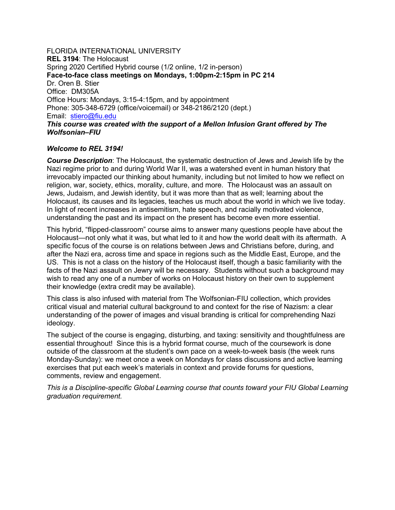FLORIDA INTERNATIONAL UNIVERSITY **REL 3194**: The Holocaust Spring 2020 Certified Hybrid course (1/2 online, 1/2 in-person) **Face-to-face class meetings on Mondays, 1:00pm-2:15pm in PC 214** Dr. Oren B. Stier Office: DM305A Office Hours: Mondays, 3:15-4:15pm, and by appointment Phone: 305-348-6729 (office/voicemail) or 348-2186/2120 (dept.) Email: stiero@fiu.edu *This course was created with the support of a Mellon Infusion Grant offered by The* 

#### *Welcome to REL 3194!*

*Wolfsonian–FIU*

*Course Description*: The Holocaust, the systematic destruction of Jews and Jewish life by the Nazi regime prior to and during World War II, was a watershed event in human history that irrevocably impacted our thinking about humanity, including but not limited to how we reflect on religion, war, society, ethics, morality, culture, and more. The Holocaust was an assault on Jews, Judaism, and Jewish identity, but it was more than that as well; learning about the Holocaust, its causes and its legacies, teaches us much about the world in which we live today. In light of recent increases in antisemitism, hate speech, and racially motivated violence, understanding the past and its impact on the present has become even more essential.

This hybrid, "flipped-classroom" course aims to answer many questions people have about the Holocaust—not only what it was, but what led to it and how the world dealt with its aftermath. A specific focus of the course is on relations between Jews and Christians before, during, and after the Nazi era, across time and space in regions such as the Middle East, Europe, and the US. This is not a class on the history of the Holocaust itself, though a basic familiarity with the facts of the Nazi assault on Jewry will be necessary. Students without such a background may wish to read any one of a number of works on Holocaust history on their own to supplement their knowledge (extra credit may be available).

This class is also infused with material from The Wolfsonian-FIU collection, which provides critical visual and material cultural background to and context for the rise of Nazism: a clear understanding of the power of images and visual branding is critical for comprehending Nazi ideology.

The subject of the course is engaging, disturbing, and taxing: sensitivity and thoughtfulness are essential throughout! Since this is a hybrid format course, much of the coursework is done outside of the classroom at the student's own pace on a week-to-week basis (the week runs Monday-Sunday): we meet once a week on Mondays for class discussions and active learning exercises that put each week's materials in context and provide forums for questions, comments, review and engagement.

*This is a Discipline-specific Global Learning course that counts toward your FIU Global Learning graduation requirement.*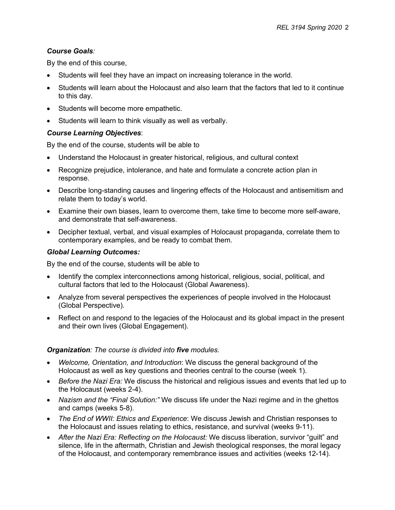## *Course Goals:*

By the end of this course,

- Students will feel they have an impact on increasing tolerance in the world.
- Students will learn about the Holocaust and also learn that the factors that led to it continue to this day.
- Students will become more empathetic.
- Students will learn to think visually as well as verbally.

#### *Course Learning Objectives*:

By the end of the course, students will be able to

- Understand the Holocaust in greater historical, religious, and cultural context
- Recognize prejudice, intolerance, and hate and formulate a concrete action plan in response.
- Describe long-standing causes and lingering effects of the Holocaust and antisemitism and relate them to today's world.
- Examine their own biases, learn to overcome them, take time to become more self-aware, and demonstrate that self-awareness.
- Decipher textual, verbal, and visual examples of Holocaust propaganda, correlate them to contemporary examples, and be ready to combat them.

#### *Global Learning Outcomes:*

By the end of the course, students will be able to

- Identify the complex interconnections among historical, religious, social, political, and cultural factors that led to the Holocaust (Global Awareness).
- Analyze from several perspectives the experiences of people involved in the Holocaust (Global Perspective).
- Reflect on and respond to the legacies of the Holocaust and its global impact in the present and their own lives (Global Engagement).

## *Organization: The course is divided into five modules.*

- *Welcome, Orientation, and Introduction*: We discuss the general background of the Holocaust as well as key questions and theories central to the course (week 1).
- *Before the Nazi Era:* We discuss the historical and religious issues and events that led up to the Holocaust (weeks 2-4).
- *Nazism and the "Final Solution:"* We discuss life under the Nazi regime and in the ghettos and camps (weeks 5-8).
- *The End of WWII: Ethics and Experience*: We discuss Jewish and Christian responses to the Holocaust and issues relating to ethics, resistance, and survival (weeks 9-11).
- *After the Nazi Era: Reflecting on the Holocaust:* We discuss liberation, survivor "guilt" and silence, life in the aftermath, Christian and Jewish theological responses, the moral legacy of the Holocaust, and contemporary remembrance issues and activities (weeks 12-14).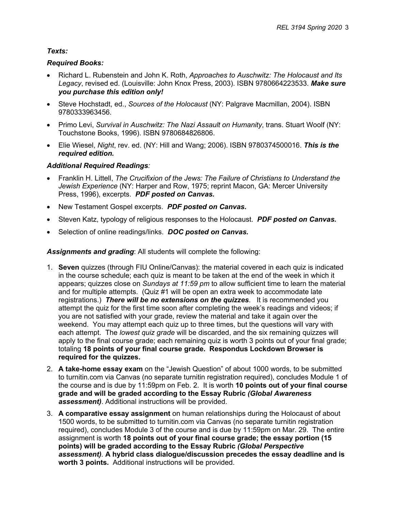## *Texts:*

## *Required Books:*

- Richard L. Rubenstein and John K. Roth, *Approaches to Auschwitz: The Holocaust and Its Legacy*, revised ed. (Louisville: John Knox Press, 2003). ISBN 9780664223533. *Make sure you purchase this edition only!*
- Steve Hochstadt, ed., *Sources of the Holocaust* (NY: Palgrave Macmillan, 2004). ISBN 9780333963456.
- Primo Levi, *Survival in Auschwitz: The Nazi Assault on Humanity*, trans. Stuart Woolf (NY: Touchstone Books, 1996). ISBN 9780684826806.
- Elie Wiesel, *Night*, rev. ed. (NY: Hill and Wang; 2006). ISBN 9780374500016. *This is the required edition.*

## *Additional Required Readings:*

- Franklin H. Littell, *The Crucifixion of the Jews: The Failure of Christians to Understand the Jewish Experience* (NY: Harper and Row, 1975; reprint Macon, GA: Mercer University Press, 1996), excerpts. *PDF posted on Canvas.*
- New Testament Gospel excerpts. *PDF posted on Canvas.*
- Steven Katz, typology of religious responses to the Holocaust. *PDF posted on Canvas.*
- Selection of online readings/links. *DOC posted on Canvas.*

*Assignments and grading*: All students will complete the following:

- 1. **Seven** quizzes (through FIU Online/Canvas): the material covered in each quiz is indicated in the course schedule; each quiz is meant to be taken at the end of the week in which it appears; quizzes close on *Sundays at 11:59 pm* to allow sufficient time to learn the material and for multiple attempts. (Quiz #1 will be open an extra week to accommodate late registrations.) *There will be no extensions on the quizzes*. It is recommended you attempt the quiz for the first time soon after completing the week's readings and videos; if you are not satisfied with your grade, review the material and take it again over the weekend. You may attempt each quiz up to three times, but the questions will vary with each attempt. The *lowest quiz grade* will be discarded, and the six remaining quizzes will apply to the final course grade; each remaining quiz is worth 3 points out of your final grade; totaling **18 points of your final course grade. Respondus Lockdown Browser is required for the quizzes.**
- 2. **A take-home essay exam** on the "Jewish Question" of about 1000 words, to be submitted to turnitin.com via Canvas (no separate turnitin registration required), concludes Module 1 of the course and is due by 11:59pm on Feb. 2. It is worth **10 points out of your final course grade and will be graded according to the Essay Rubric** *(Global Awareness assessment)*. Additional instructions will be provided.
- 3. **A comparative essay assignment** on human relationships during the Holocaust of about 1500 words, to be submitted to turnitin.com via Canvas (no separate turnitin registration required), concludes Module 3 of the course and is due by 11:59pm on Mar. 29. The entire assignment is worth **18 points out of your final course grade; the essay portion (15 points) will be graded according to the Essay Rubric** *(Global Perspective assessment).* **A hybrid class dialogue/discussion precedes the essay deadline and is worth 3 points.** Additional instructions will be provided.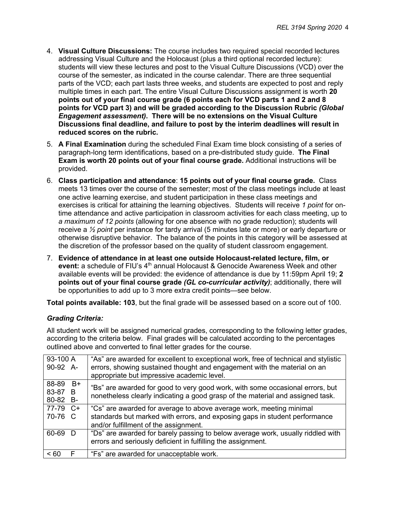- 4. **Visual Culture Discussions:** The course includes two required special recorded lectures addressing Visual Culture and the Holocaust (plus a third optional recorded lecture): students will view these lectures and post to the Visual Culture Discussions (VCD) over the course of the semester, as indicated in the course calendar. There are three sequential parts of the VCD; each part lasts three weeks, and students are expected to post and reply multiple times in each part. The entire Visual Culture Discussions assignment is worth **20 points out of your final course grade (6 points each for VCD parts 1 and 2 and 8 points for VCD part 3) and will be graded according to the Discussion Rubric** *(Global Engagement assessment)***. There will be no extensions on the Visual Culture Discussions final deadline, and failure to post by the interim deadlines will result in reduced scores on the rubric.**
- 5. **A Final Examination** during the scheduled Final Exam time block consisting of a series of paragraph-long term identifications, based on a pre-distributed study guide. **The Final Exam is worth 20 points out of your final course grade.** Additional instructions will be provided.
- 6. **Class participation and attendance**: **15 points out of your final course grade.** Class meets 13 times over the course of the semester; most of the class meetings include at least one active learning exercise, and student participation in these class meetings and exercises is critical for attaining the learning objectives. Students will receive *1 point* for ontime attendance and active participation in classroom activities for each class meeting, up to *a maximum of 12 points* (allowing for one absence with no grade reduction); students will receive a *½ point* per instance for tardy arrival (5 minutes late or more) or early departure or otherwise disruptive behavior. The balance of the points in this category will be assessed at the discretion of the professor based on the quality of student classroom engagement.
- 7. **Evidence of attendance in at least one outside Holocaust-related lecture, film, or**  event: a schedule of FIU's 4<sup>th</sup> annual Holocaust & Genocide Awareness Week and other available events will be provided: the evidence of attendance is due by 11:59pm April 19; **2 points out of your final course grade** *(GL co-curricular activity)*; additionally, there will be opportunities to add up to 3 more extra credit points—see below.

**Total points available: 103**, but the final grade will be assessed based on a score out of 100.

## *Grading Criteria:*

All student work will be assigned numerical grades, corresponding to the following letter grades, according to the criteria below. Final grades will be calculated according to the percentages outlined above and converted to final letter grades for the course.

| 93-100 A<br>90-92 A-            | "As" are awarded for excellent to exceptional work, free of technical and stylistic<br>errors, showing sustained thought and engagement with the material on an<br>appropriate but impressive academic level. |
|---------------------------------|---------------------------------------------------------------------------------------------------------------------------------------------------------------------------------------------------------------|
| 88-89 B+<br>83-87 B<br>80-82 B- | "Bs" are awarded for good to very good work, with some occasional errors, but<br>nonetheless clearly indicating a good grasp of the material and assigned task.                                               |
| 77-79<br>$C+$<br>70-76 C        | "Cs" are awarded for average to above average work, meeting minimal<br>standards but marked with errors, and exposing gaps in student performance<br>and/or fulfillment of the assignment.                    |
| 60-69                           | "Ds" are awarded for barely passing to below average work, usually riddled with<br>errors and seriously deficient in fulfilling the assignment.                                                               |
| < 60                            | "Fs" are awarded for unacceptable work.                                                                                                                                                                       |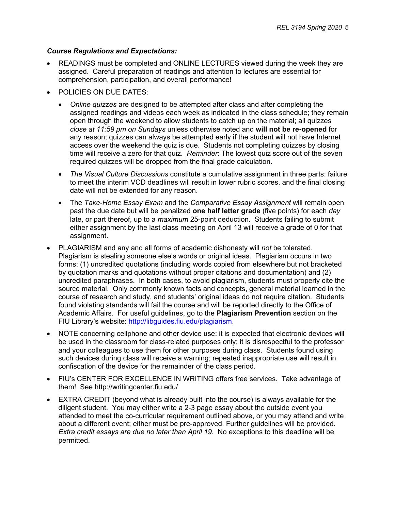### *Course Regulations and Expectations:*

- READINGS must be completed and ONLINE LECTURES viewed during the week they are assigned. Careful preparation of readings and attention to lectures are essential for comprehension, participation, and overall performance!
- POLICIES ON DUE DATES:
	- *Online quizzes* are designed to be attempted after class and after completing the assigned readings and videos each week as indicated in the class schedule; they remain open through the weekend to allow students to catch up on the material; all quizzes *close at 11:59 pm on Sundays* unless otherwise noted and **will not be re-opened** for any reason; quizzes can always be attempted early if the student will not have Internet access over the weekend the quiz is due. Students not completing quizzes by closing time will receive a zero for that quiz. *Reminder*: The lowest quiz score out of the seven required quizzes will be dropped from the final grade calculation.
	- *The Visual Culture Discussions* constitute a cumulative assignment in three parts: failure to meet the interim VCD deadlines will result in lower rubric scores, and the final closing date will not be extended for any reason.
	- The *Take-Home Essay Exam* and the *Comparative Essay Assignment* will remain open past the due date but will be penalized **one half letter grade** (five points) for each *day* late, or part thereof, up to a *maximum* 25-point deduction. Students failing to submit either assignment by the last class meeting on April 13 will receive a grade of 0 for that assignment.
- PLAGIARISM and any and all forms of academic dishonesty will *not* be tolerated. Plagiarism is stealing someone else's words or original ideas. Plagiarism occurs in two forms: (1) uncredited quotations (including words copied from elsewhere but not bracketed by quotation marks and quotations without proper citations and documentation) and (2) uncredited paraphrases. In both cases, to avoid plagiarism, students must properly cite the source material. Only commonly known facts and concepts, general material learned in the course of research and study, and students' original ideas do not require citation. Students found violating standards will fail the course and will be reported directly to the Office of Academic Affairs. For useful guidelines, go to the **Plagiarism Prevention** section on the FIU Library's website: http://libguides.fiu.edu/plagiarism.
- NOTE concerning cellphone and other device use: it is expected that electronic devices will be used in the classroom for class-related purposes only; it is disrespectful to the professor and your colleagues to use them for other purposes during class. Students found using such devices during class will receive a warning; repeated inappropriate use will result in confiscation of the device for the remainder of the class period.
- FIU's CENTER FOR EXCELLENCE IN WRITING offers free services. Take advantage of them! See http://writingcenter.fiu.edu/
- EXTRA CREDIT (beyond what is already built into the course) is always available for the diligent student. You may either write a 2-3 page essay about the outside event you attended to meet the co-curricular requirement outlined above, or you may attend and write about a different event; either must be pre-approved. Further guidelines will be provided. *Extra credit essays are due no later than April 19.* No exceptions to this deadline will be permitted.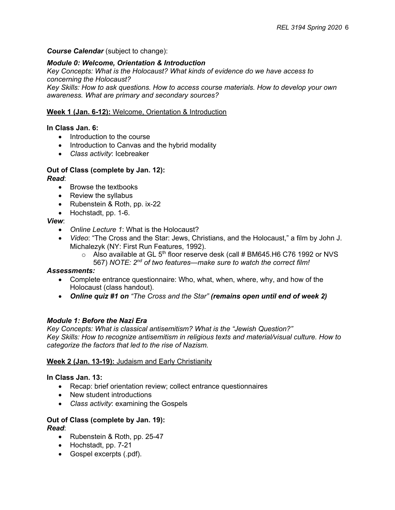### *Course Calendar* (subject to change):

### *Module 0: Welcome, Orientation & Introduction*

*Key Concepts: What is the Holocaust? What kinds of evidence do we have access to concerning the Holocaust?*

*Key Skills: How to ask questions. How to access course materials. How to develop your own awareness. What are primary and secondary sources?*

#### **Week 1 (Jan. 6-12):** Welcome, Orientation & Introduction

#### **In Class Jan. 6:**

- Introduction to the course
- Introduction to Canvas and the hybrid modality
- *Class activity*: Icebreaker

#### **Out of Class (complete by Jan. 12):**

*Read*:

- Browse the textbooks
- Review the syllabus
- Rubenstein & Roth, pp. ix-22
- Hochstadt, pp. 1-6.

#### *View*:

- *Online Lecture 1*: What is the Holocaust?
- *Video*: "The Cross and the Star: Jews, Christians, and the Holocaust," a film by John J. Michalezyk (NY: First Run Features, 1992).
	- $\circ$  Also available at GL 5<sup>th</sup> floor reserve desk (call # BM645.H6 C76 1992 or NVS 567) *NOTE: 2nd of two features—make sure to watch the correct film!*

#### *Assessments:*

- Complete entrance questionnaire: Who, what, when, where, why, and how of the Holocaust (class handout).
- *Online quiz #1 on "The Cross and the Star" (remains open until end of week 2)*

#### *Module 1: Before the Nazi Era*

*Key Concepts: What is classical antisemitism? What is the "Jewish Question?" Key Skills: How to recognize antisemitism in religious texts and material/visual culture. How to categorize the factors that led to the rise of Nazism.*

#### **Week 2 (Jan. 13-19):** Judaism and Early Christianity

#### **In Class Jan. 13:**

- Recap: brief orientation review; collect entrance questionnaires
- New student introductions
- *Class activity*: examining the Gospels

#### **Out of Class (complete by Jan. 19):** *Read*:

- Rubenstein & Roth, pp. 25-47
- Hochstadt, pp. 7-21
- Gospel excerpts (.pdf).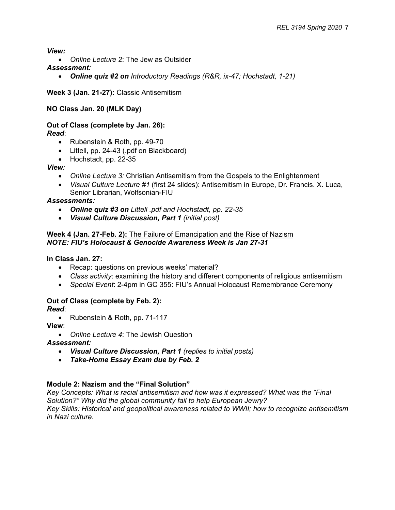*View:*

- *Online Lecture 2*: The Jew as Outsider
- *Assessment:* 
	- *Online quiz #2 on Introductory Readings (R&R, ix-47; Hochstadt, 1-21)*

## **Week 3 (Jan. 21-27):** Classic Antisemitism

## **NO Class Jan. 20 (MLK Day)**

# **Out of Class (complete by Jan. 26):**

*Read*:

- Rubenstein & Roth, pp. 49-70
- Littell, pp. 24-43 (.pdf on Blackboard)
- Hochstadt, pp. 22-35

## *View:*

- *Online Lecture 3:* Christian Antisemitism from the Gospels to the Enlightenment
- *Visual Culture Lecture #1* (first 24 slides): Antisemitism in Europe, Dr. Francis. X. Luca, Senior Librarian, Wolfsonian-FIU

## *Assessments:*

- *Online quiz #3 on Littell .pdf and Hochstadt, pp. 22-35*
- *Visual Culture Discussion, Part 1 (initial post)*

## **Week 4 (Jan. 27-Feb. 2):** The Failure of Emancipation and the Rise of Nazism *NOTE: FIU's Holocaust & Genocide Awareness Week is Jan 27-31*

**In Class Jan. 27:**

- Recap: questions on previous weeks' material?
- *Class activity*: examining the history and different components of religious antisemitism
- *Special Event*: 2-4pm in GC 355: FIU's Annual Holocaust Remembrance Ceremony

## **Out of Class (complete by Feb. 2):**

*Read*:

• Rubenstein & Roth, pp. 71-117

**View**:

• *Online Lecture 4*: The Jewish Question

## *Assessment:*

- *Visual Culture Discussion, Part 1 (replies to initial posts)*
- *Take-Home Essay Exam due by Feb. 2*

## **Module 2: Nazism and the "Final Solution"**

*Key Concepts: What is racial antisemitism and how was it expressed? What was the "Final Solution?" Why did the global community fail to help European Jewry? Key Skills: Historical and geopolitical awareness related to WWII; how to recognize antisemitism in Nazi culture.*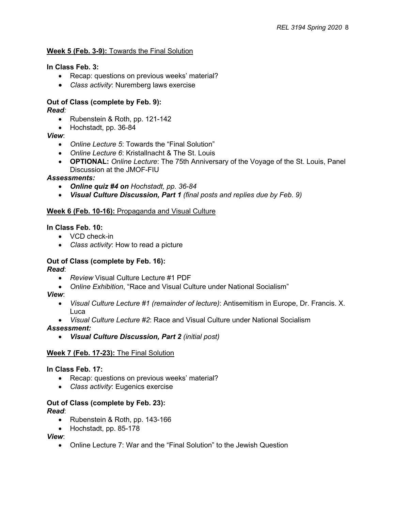## **Week 5 (Feb. 3-9):** Towards the Final Solution

## **In Class Feb. 3:**

- Recap: questions on previous weeks' material?
- *Class activity*: Nuremberg laws exercise

## **Out of Class (complete by Feb. 9):**

*Read:* 

- Rubenstein & Roth, pp. 121-142
- Hochstadt, pp. 36-84

*View*:

- *Online Lecture 5*: Towards the "Final Solution"
- *Online Lecture 6*: Kristallnacht & The St. Louis
- **OPTIONAL:** *Online Lecture*: The 75th Anniversary of the Voyage of the St. Louis, Panel Discussion at the JMOF-FIU

## *Assessments:*

- *Online quiz #4 on Hochstadt, pp. 36-84*
- *Visual Culture Discussion, Part 1 (final posts and replies due by Feb. 9)*

#### **Week 6 (Feb. 10-16):** Propaganda and Visual Culture

**In Class Feb. 10:**

- VCD check-in
- *Class activity*: How to read a picture

## **Out of Class (complete by Feb. 16):**

*Read*:

- *Review* Visual Culture Lecture #1 PDF
- *Online Exhibition*, "Race and Visual Culture under National Socialism"

*View*:

- *Visual Culture Lecture #1 (remainder of lecture)*: Antisemitism in Europe, Dr. Francis. X. Luca
- *Visual Culture Lecture #2*: Race and Visual Culture under National Socialism

*Assessment:* 

• *Visual Culture Discussion, Part 2 (initial post)*

## **Week 7 (Feb. 17-23):** The Final Solution

#### **In Class Feb. 17:**

- Recap: questions on previous weeks' material?
- *Class activity*: Eugenics exercise

## **Out of Class (complete by Feb. 23):**

*Read*:

- Rubenstein & Roth, pp. 143-166
- Hochstadt, pp. 85-178

*View*:

• Online Lecture 7: War and the "Final Solution" to the Jewish Question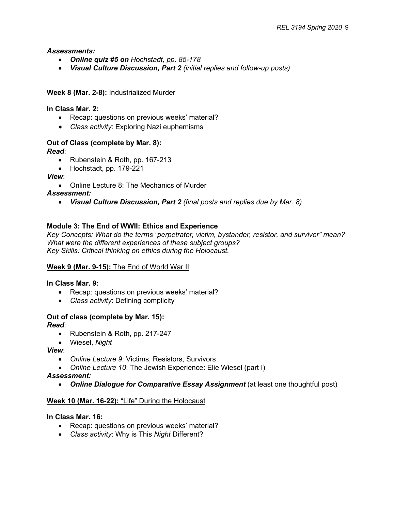*Assessments:* 

- *Online quiz #5 on Hochstadt, pp. 85-178*
- *Visual Culture Discussion, Part 2 (initial replies and follow-up posts)*

### **Week 8 (Mar. 2-8):** Industrialized Murder

**In Class Mar. 2:** 

- Recap: questions on previous weeks' material?
- *Class activity*: Exploring Nazi euphemisms

## **Out of Class (complete by Mar. 8):**

*Read*:

- Rubenstein & Roth, pp. 167-213
- Hochstadt, pp. 179-221

*View*:

• Online Lecture 8: The Mechanics of Murder

*Assessment:* 

• *Visual Culture Discussion, Part 2 (final posts and replies due by Mar. 8)*

## **Module 3: The End of WWII: Ethics and Experience**

*Key Concepts: What do the terms "perpetrator, victim, bystander, resistor, and survivor" mean? What were the different experiences of these subject groups? Key Skills: Critical thinking on ethics during the Holocaust.*

## **Week 9 (Mar. 9-15):** The End of World War II

## **In Class Mar. 9:**

- Recap: questions on previous weeks' material?
- *Class activity*: Defining complicity

#### **Out of class (complete by Mar. 15):** *Read*:

- Rubenstein & Roth, pp. 217-247
- Wiesel, *Night*

*View*:

- *Online Lecture 9*: Victims, Resistors, Survivors
- *Online Lecture 10*: The Jewish Experience: Elie Wiesel (part I)

*Assessment:* 

• *Online Dialogue for Comparative Essay Assignment* (at least one thoughtful post)

## **Week 10 (Mar. 16-22):** "Life" During the Holocaust

#### **In Class Mar. 16:**

- Recap: questions on previous weeks' material?
- *Class activity*: Why is This *Night* Different?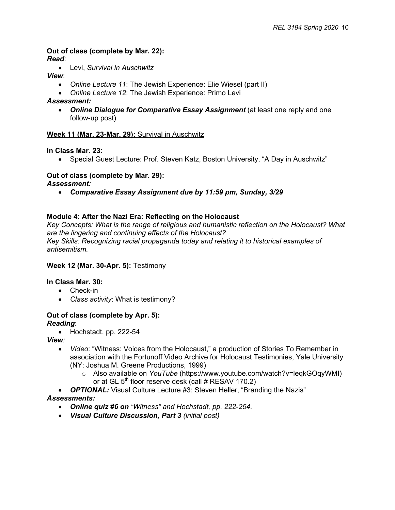**Out of class (complete by Mar. 22):** *Read*:

• Levi, *Survival in Auschwitz*

*View*:

- *Online Lecture 11*: The Jewish Experience: Elie Wiesel (part II)
- *Online Lecture 12*: The Jewish Experience: Primo Levi

## *Assessment:*

• *Online Dialogue for Comparative Essay Assignment* (at least one reply and one follow-up post)

## **Week 11 (Mar. 23-Mar. 29):** Survival in Auschwitz

**In Class Mar. 23:**

• Special Guest Lecture: Prof. Steven Katz, Boston University, "A Day in Auschwitz"

## **Out of class (complete by Mar. 29):**

*Assessment:* 

• *Comparative Essay Assignment due by 11:59 pm, Sunday, 3/29*

## **Module 4: After the Nazi Era: Reflecting on the Holocaust**

*Key Concepts: What is the range of religious and humanistic reflection on the Holocaust? What are the lingering and continuing effects of the Holocaust? Key Skills: Recognizing racial propaganda today and relating it to historical examples of antisemitism.*

## **Week 12 (Mar. 30-Apr. 5):** Testimony

#### **In Class Mar. 30:**

- Check-in
- *Class activity*: What is testimony?

#### **Out of class (complete by Apr. 5):** *Reading*:

• Hochstadt, pp. 222-54

*View:*

- *Video*: "Witness: Voices from the Holocaust," a production of Stories To Remember in association with the Fortunoff Video Archive for Holocaust Testimonies, Yale University (NY: Joshua M. Greene Productions, 1999)
	- o Also available on *YouTube* (https://www.youtube.com/watch?v=leqkGOqyWMI) or at GL  $5<sup>th</sup>$  floor reserve desk (call # RESAV 170.2)
- *OPTIONAL:* Visual Culture Lecture #3: Steven Heller, "Branding the Nazis"

## *Assessments:*

- *Online quiz #6 on "Witness" and Hochstadt, pp. 222-254.*
- *Visual Culture Discussion, Part 3 (initial post)*